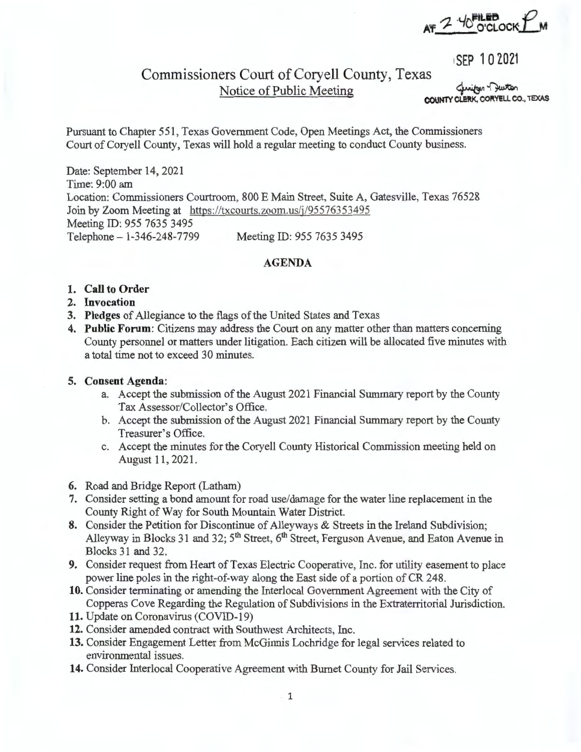$2.4$  FILEB  $P$ . **A'f: 'r** \_ ,0 **O'CLOCKj\_M** 

1SEP 102021

# Commissioners Court of Coryell County, Texas **Notice of Public Meeting**

**COUNTY CLERK, CORYELL CO., TEXAS** 

Pursuant to Chapter 551, Texas Government Code, Open Meetings Act, the Commissioners Court of Coryell County, Texas will hold a regular meeting to conduct County business.

Date: September 14, 2021 Time: 9:00 am Location: Commissioners Courtroom, 800 E Main Street, Suite A, Gatesville, Texas 76528 Join by Zoom Meeting at https://txcourts.zoom.us/j/95576353495 Meeting ID: 955 7635 3495 Telephone-1-346-248-7799 Meeting ID: 955 7635 3495

### **AGENDA**

#### **1. Call to Order**

- **2. Invocation**
- **3. Pledges** of Allegiance to the flags of the United States and Texas
- **4. Public Forum:** Citizens may address the Court on any matter other than matters concerning County personnel or matters under litigation. Each citizen will be allocated five minutes with a total time not to exceed 30 minutes.

#### **5. Consent Agenda:**

- a. Accept the submission of the August 2021 Financial Summary report by the County Tax Assessor/Collector's Office.
- b. Accept the submission of the August 2021 Financial Summary report by the County Treasurer's Office.
- c. Accept the minutes for the Coryell County Historical Commission meeting held on August 11, 2021.
- **6.** Road and Bridge Report (Latham)
- **7.** Consider setting a bond amount for road use/damage for the water line replacement in the County Right of Way for South Mountain Water District.
- **8.** Consider the Petition for Discontinue of Alleyways & Streets in the Ireland Subdivision; Alleyway in Blocks 31 and 32; 5<sup>th</sup> Street, 6<sup>th</sup> Street, Ferguson Avenue, and Eaton Avenue in Blocks 31 and 32.
- **9.** Consider request from Heart of Texas Electric Cooperative, Inc. for utility easement to place power line poles in the right-of-way along the East side of a portion of CR 248.
- **10.** Consider terminating or amending the Interlocal Government Agreement with the City of Copperas Cove Regarding the Regulation of Subdivisions in the Extraterritorial Jurisdiction.
- **11.** Update on Coronavirus (COVID-19)
- **12.** Consider amended contract with Southwest Architects, Inc.
- **13.** Consider Engagement Letter from McGinnis Lochridge for legal services related to environmental issues.
- **14.** Consider Interlocal Cooperative Agreement with Burnet County for Jail Services.